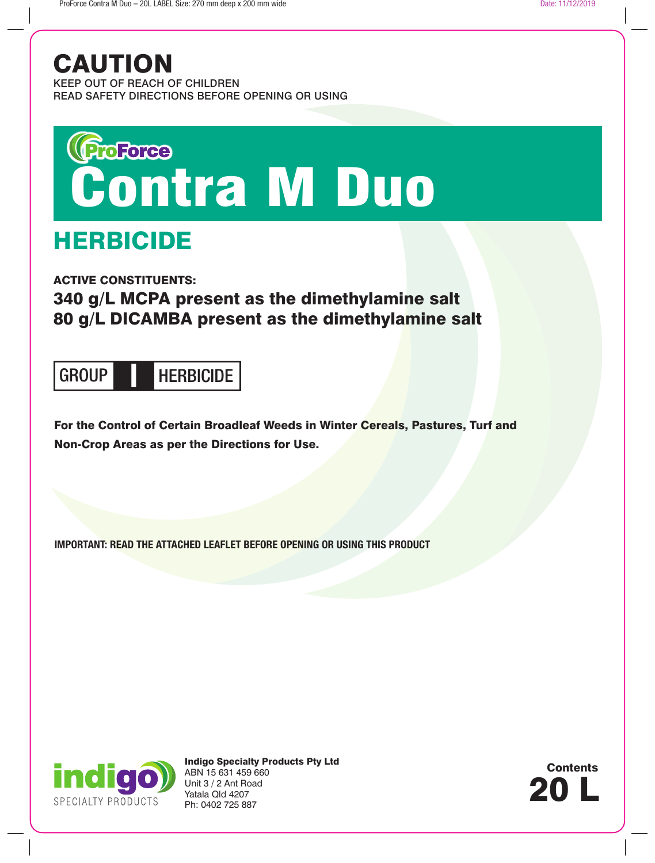## CAUTION

KEEP OUT OF REACH OF CHILDREN READ SAFETY DIRECTIONS BEFORE OPENING OR USING

# Greferee<br>Contra M Duo

## HERBICIDE

ACTIVE CONSTITUENTS:

## 340 g/L MCPA present as the dimethylamine salt 80 g/L DICAMBA present as the dimethylamine salt

## GROUP HERBICIDE **I**

For the Control of Certain Broadleaf Weeds in Winter Cereals, Pastures, Turf and Non-Crop Areas as per the Directions for Use.

**IMPORTANT: READ THE ATTACHED LEAFLET BEFORE OPENING OR USING THIS PRODUCT**



Indigo Specialty Products Pty Ltd ABN 15 631 459 660 Unit 3 / 2 Ant Road Yatala Qld 4207 Ph: 0402 725 887

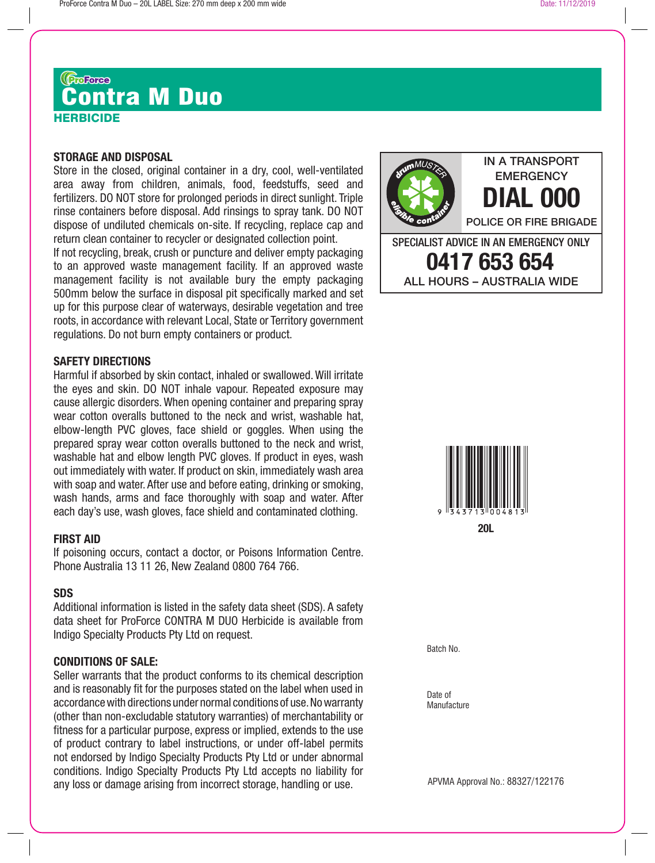## HERBICIDE Grance **The Contra M Duo**

#### **STORAGE AND DISPOSAL**

Store in the closed, original container in a dry, cool, well-ventilated area away from children, animals, food, feedstuffs, seed and fertilizers. DO NOT store for prolonged periods in direct sunlight. Triple rinse containers before disposal. Add rinsings to spray tank. DO NOT dispose of undiluted chemicals on-site. If recycling, replace cap and return clean container to recycler or designated collection point.

If not recycling, break, crush or puncture and deliver empty packaging to an approved waste management facility. If an approved waste management facility is not available bury the empty packaging 500mm below the surface in disposal pit specifically marked and set up for this purpose clear of waterways, desirable vegetation and tree roots, in accordance with relevant Local, State or Territory government regulations. Do not burn empty containers or product.

#### **SAFETY DIRECTIONS**

Harmful if absorbed by skin contact, inhaled or swallowed. Will irritate the eyes and skin. DO NOT inhale vapour. Repeated exposure may cause allergic disorders. When opening container and preparing spray wear cotton overalls buttoned to the neck and wrist, washable hat, elbow-length PVC gloves, face shield or goggles. When using the prepared spray wear cotton overalls buttoned to the neck and wrist, washable hat and elbow length PVC gloves. If product in eyes, wash out immediately with water. If product on skin, immediately wash area with soap and water. After use and before eating, drinking or smoking, wash hands, arms and face thoroughly with soap and water. After each day's use, wash gloves, face shield and contaminated clothing.

#### **FIRST AID**

If poisoning occurs, contact a doctor, or Poisons Information Centre. Phone Australia 13 11 26, New Zealand 0800 764 766.

### **SDS**

Additional information is listed in the safety data sheet (SDS). A safety data sheet for ProForce CONTRA M DUO Herbicide is available from Indigo Specialty Products Pty Ltd on request.

#### **CONDITIONS OF SALE:**

Seller warrants that the product conforms to its chemical description and is reasonably fit for the purposes stated on the label when used in accordance with directions under normal conditions of use. No warranty (other than non-excludable statutory warranties) of merchantability or fitness for a particular purpose, express or implied, extends to the use of product contrary to label instructions, or under off-label permits not endorsed by Indigo Specialty Products Pty Ltd or under abnormal conditions. Indigo Specialty Products Pty Ltd accepts no liability for any loss or damage arising from incorrect storage, handling or use.

**DIAL 000** POLICE OR FIRE BRIGADE SPECIALIST ADVICE IN AN EMERGENCY ONLY **0417 653 654** ALL HOURS – AUSTRALIA WIDE



Batch No.

Date of **Manufacture** 

APVMA Approval No.: 88327/122176

IN A TRANSPORT **EMERGENCY**